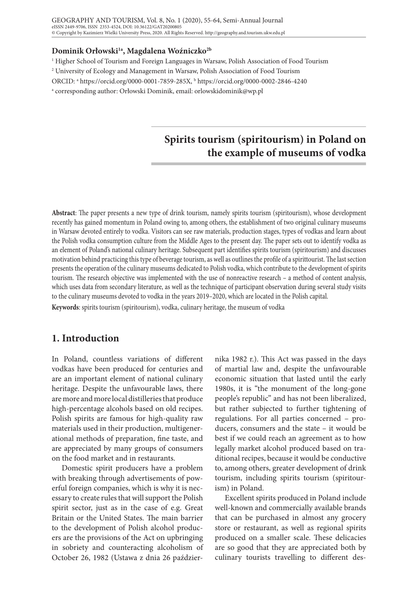#### **Dominik Orłowski1a, Magdalena Woźniczko2b**

<sup>1</sup> Higher School of Tourism and Foreign Languages in Warsaw, Polish Association of Food Tourism

 $^2$  University of Ecology and Management in Warsaw, Polish Association of Food Tourism

ORCID: a https://orcid.org/0000-0001-7859-285X, b https://orcid.org/0000-0002-2846-4240

a corresponding author: Orłowski Dominik, email: orlowskidominik@wp.pl

# **Spirits tourism (spiritourism) in Poland on the example of museums of vodka**

**Abstract**: The paper presents a new type of drink tourism, namely spirits tourism (spiritourism), whose development recently has gained momentum in Poland owing to, among others, the establishment of two original culinary museums in Warsaw devoted entirely to vodka. Visitors can see raw materials, production stages, types of vodkas and learn about the Polish vodka consumption culture from the Middle Ages to the present day. The paper sets out to identify vodka as an element of Poland's national culinary heritage. Subsequent part identifies spirits tourism (spiritourism) and discusses motivation behind practicing this type of beverage tourism, as well as outlines the profile of a spirittourist. The last section presents the operation of the culinary museums dedicated to Polish vodka, which contribute to the development of spirits tourism. The research objective was implemented with the use of nonreactive research – a method of content analysis, which uses data from secondary literature, as well as the technique of participant observation during several study visits to the culinary museums devoted to vodka in the years 2019–2020, which are located in the Polish capital.

**Keywords**: spirits tourism (spiritourism), vodka, culinary heritage, the museum of vodka

# **1. Introduction**

In Poland, countless variations of different vodkas have been produced for centuries and are an important element of national culinary heritage. Despite the unfavourable laws, there are more and more local distilleries that produce high-percentage alcohols based on old recipes. Polish spirits are famous for high-quality raw materials used in their production, multigenerational methods of preparation, fine taste, and are appreciated by many groups of consumers on the food market and in restaurants.

Domestic spirit producers have a problem with breaking through advertisements of powerful foreign companies, which is why it is necessary to create rules that will support the Polish spirit sector, just as in the case of e.g. Great Britain or the United States. The main barrier to the development of Polish alcohol producers are the provisions of the Act on upbringing in sobriety and counteracting alcoholism of October 26, 1982 (Ustawa z dnia 26 paździer-

nika 1982 r.). This Act was passed in the days of martial law and, despite the unfavourable economic situation that lasted until the early 1980s, it is "the monument of the long-gone people's republic" and has not been liberalized, but rather subjected to further tightening of regulations. For all parties concerned – producers, consumers and the state – it would be best if we could reach an agreement as to how legally market alcohol produced based on traditional recipes, because it would be conductive to, among others, greater development of drink tourism, including spirits tourism (spiritourism) in Poland.

Excellent spirits produced in Poland include well-known and commercially available brands that can be purchased in almost any grocery store or restaurant, as well as regional spirits produced on a smaller scale. These delicacies are so good that they are appreciated both by culinary tourists travelling to different des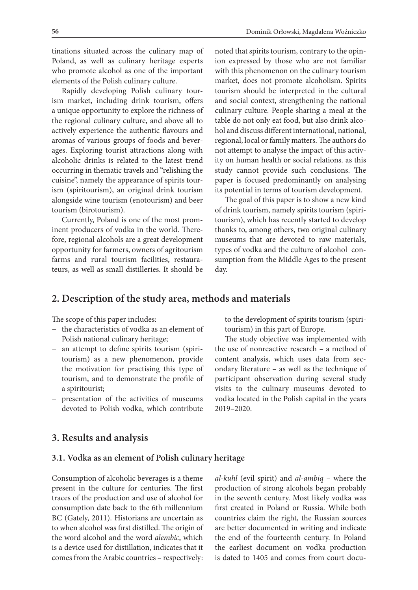tinations situated across the culinary map of Poland, as well as culinary heritage experts who promote alcohol as one of the important elements of the Polish culinary culture.

Rapidly developing Polish culinary tourism market, including drink tourism, offers a unique opportunity to explore the richness of the regional culinary culture, and above all to actively experience the authentic flavours and aromas of various groups of foods and beverages. Exploring tourist attractions along with alcoholic drinks is related to the latest trend occurring in thematic travels and "relishing the cuisine", namely the appearance of spirits tourism (spiritourism), an original drink tourism alongside wine tourism (enotourism) and beer tourism (birotourism).

Currently, Poland is one of the most prominent producers of vodka in the world. Therefore, regional alcohols are a great development opportunity for farmers, owners of agritourism farms and rural tourism facilities, restaurateurs, as well as small distilleries. It should be

noted that spirits tourism, contrary to the opinion expressed by those who are not familiar with this phenomenon on the culinary tourism market, does not promote alcoholism. Spirits tourism should be interpreted in the cultural and social context, strengthening the national culinary culture. People sharing a meal at the table do not only eat food, but also drink alcohol and discuss different international, national, regional, local or family matters. The authors do not attempt to analyse the impact of this activity on human health or social relations. as this study cannot provide such conclusions. The paper is focused predominantly on analysing its potential in terms of tourism development.

The goal of this paper is to show a new kind of drink tourism, namely spirits tourism (spiritourism), which has recently started to develop thanks to, among others, two original culinary museums that are devoted to raw materials, types of vodka and the culture of alcohol consumption from the Middle Ages to the present day.

# **2. Description of the study area, methods and materials**

The scope of this paper includes:

- − the characteristics of vodka as an element of Polish national culinary heritage;
- − an attempt to define spirits tourism (spiritourism) as a new phenomenon, provide the motivation for practising this type of tourism, and to demonstrate the profile of a spiritourist;
- − presentation of the activities of museums devoted to Polish vodka, which contribute

to the development of spirits tourism (spiritourism) in this part of Europe.

The study objective was implemented with the use of nonreactive research – a method of content analysis, which uses data from secondary literature – as well as the technique of participant observation during several study visits to the culinary museums devoted to vodka located in the Polish capital in the years 2019–2020.

## **3. Results and analysis**

#### **3.1. Vodka as an element of Polish culinary heritage**

Consumption of alcoholic beverages is a theme present in the culture for centuries. The first traces of the production and use of alcohol for consumption date back to the 6th millennium BC (Gately, 2011). Historians are uncertain as to when alcohol was first distilled. The origin of the word alcohol and the word *alembic*, which is a device used for distillation, indicates that it comes from the Arabic countries – respectively:

*al-kuhl* (evil spirit) and *al-ambiq* – where the production of strong alcohols began probably in the seventh century. Most likely vodka was first created in Poland or Russia. While both countries claim the right, the Russian sources are better documented in writing and indicate the end of the fourteenth century. In Poland the earliest document on vodka production is dated to 1405 and comes from court docu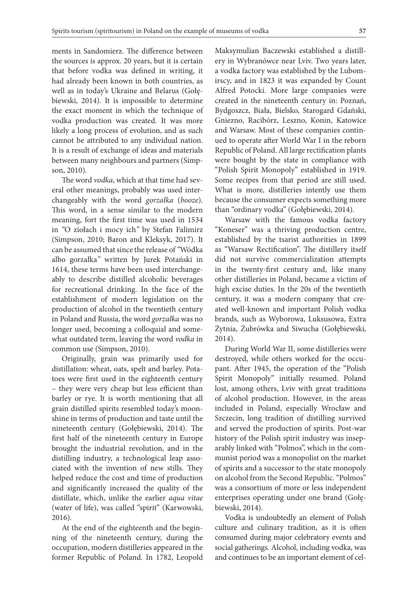ments in Sandomierz. The difference between the sources is approx. 20 years, but it is certain that before vodka was defined in writing, it had already been known in both countries, as well as in today's Ukraine and Belarus (Gołębiewski, 2014). It is impossible to determine the exact moment in which the technique of vodka production was created. It was more likely a long process of evolution, and as such cannot be attributed to any individual nation. It is a result of exchange of ideas and materials between many neighbours and partners (Simpson, 2010).

The word *vodka*, which at that time had several other meanings, probably was used interchangeably with the word *gorzałka* (*booze*). This word, in a sense similar to the modern meaning, fort the first time was used in 1534 in *"*O ziołach i mocy ich*"* by Stefan Falimirz (Simpson, 2010; Baron and Kleksyk, 2017). It can be assumed that since the release of *"*Wódka albo gorzałka*"* written by Jurek Potański in 1614, these terms have been used interchangeably to describe distilled alcoholic beverages for recreational drinking. In the face of the establishment of modern legislation on the production of alcohol in the twentieth century in Poland and Russia, the word *gorzałka* was no longer used, becoming a colloquial and somewhat outdated term, leaving the word *vodka* in common use (Simpson, 2010).

Originally, grain was primarily used for distillation: wheat, oats, spelt and barley. Potatoes were first used in the eighteenth century – they were very cheap but less efficient than barley or rye. It is worth mentioning that all grain distilled spirits resembled today's moonshine in terms of production and taste until the nineteenth century (Gołębiewski, 2014). The first half of the nineteenth century in Europe brought the industrial revolution, and in the distilling industry, a technological leap associated with the invention of new stills. They helped reduce the cost and time of production and significantly increased the quality of the distillate, which, unlike the earlier *aqua vitae*  (water of life), was called "spirit" (Karwowski, 2016).

At the end of the eighteenth and the beginning of the nineteenth century, during the occupation, modern distilleries appeared in the former Republic of Poland. In 1782, Leopold Maksymulian Baczewski established a distillery in Wybranówce near Lviv. Two years later, a vodka factory was established by the Lubomirscy, and in 1823 it was expanded by Count Alfred Potocki. More large companies were created in the nineteenth century in: Poznań, Bydgoszcz, Biała, Bielsko, Starogard Gdański, Gniezno, Racibórz, Leszno, Konin, Katowice and Warsaw. Most of these companies continued to operate after World War I in the reborn Republic of Poland. All large rectification plants were bought by the state in compliance with "Polish Spirit Monopoly" established in 1919. Some recipes from that period are still used. What is more, distilleries intently use them because the consumer expects something more than "ordinary vodka" (Gołębiewski, 2014).

Warsaw with the famous vodka factory "Koneser" was a thriving production centre, established by the tsarist authorities in 1899 as "Warsaw Rectification". The distillery itself did not survive commercialization attempts in the twenty-first century and, like many other distilleries in Poland, became a victim of high excise duties. In the 20s of the twentieth century, it was a modern company that created well-known and important Polish vodka brands, such as Wyborowa, Luksusowa, Extra Żytnia, Żubrówka and Siwucha (Gołębiewski, 2014).

During World War II, some distilleries were destroyed, while others worked for the occupant. After 1945, the operation of the "Polish Spirit Monopoly" initially resumed. Poland lost, among others, Lviv with great traditions of alcohol production. However, in the areas included in Poland, especially Wrocław and Szczecin, long tradition of distilling survived and served the production of spirits. Post-war history of the Polish spirit industry was inseparably linked with "Polmos", which in the communist period was a monopolist on the market of spirits and a successor to the state monopoly on alcohol from the Second Republic. "Polmos" was a consortium of more or less independent enterprises operating under one brand (Gołębiewski, 2014).

Vodka is undoubtedly an element of Polish culture and culinary tradition, as it is often consumed during major celebratory events and social gatherings. Alcohol, including vodka, was and continues to be an important element of cel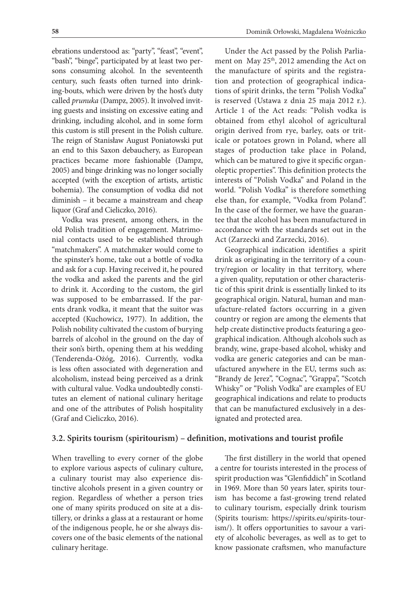ebrations understood as: "party", "feast", "event", "bash", "binge", participated by at least two persons consuming alcohol. In the seventeenth century, such feasts often turned into drinking-bouts, which were driven by the host's duty called *prunuka* (Dampz, 2005). It involved inviting guests and insisting on excessive eating and drinking, including alcohol, and in some form this custom is still present in the Polish culture. The reign of Stanisław August Poniatowski put an end to this Saxon debauchery, as European practices became more fashionable (Dampz, 2005) and binge drinking was no longer socially accepted (with the exception of artists, artistic bohemia). The consumption of vodka did not diminish – it became a mainstream and cheap liquor (Graf and Cieliczko, 2016).

Vodka was present, among others, in the old Polish tradition of engagement. Matrimonial contacts used to be established through "matchmakers". A matchmaker would come to the spinster's home, take out a bottle of vodka and ask for a cup. Having received it, he poured the vodka and asked the parents and the girl to drink it. According to the custom, the girl was supposed to be embarrassed. If the parents drank vodka, it meant that the suitor was accepted (Kuchowicz, 1977). In addition, the Polish nobility cultivated the custom of burying barrels of alcohol in the ground on the day of their son's birth, opening them at his wedding (Tenderenda-Ożóg, 2016). Currently, vodka is less often associated with degeneration and alcoholism, instead being perceived as a drink with cultural value. Vodka undoubtedly constitutes an element of national culinary heritage and one of the attributes of Polish hospitality (Graf and Cieliczko, 2016).

Under the Act passed by the Polish Parliament on May 25<sup>th</sup>, 2012 amending the Act on the manufacture of spirits and the registration and protection of geographical indications of spirit drinks, the term "Polish Vodka" is reserved (Ustawa z dnia 25 maja 2012 r.). Article 1 of the Act reads: "Polish vodka is obtained from ethyl alcohol of agricultural origin derived from rye, barley, oats or triticale or potatoes grown in Poland, where all stages of production take place in Poland, which can be matured to give it specific organoleptic properties". This definition protects the interests of "Polish Vodka" and Poland in the world. "Polish Vodka" is therefore something else than, for example, "Vodka from Poland". In the case of the former, we have the guarantee that the alcohol has been manufactured in accordance with the standards set out in the Act (Zarzecki and Zarzecki, 2016).

Geographical indication identifies a spirit drink as originating in the territory of a country/region or locality in that territory, where a given quality, reputation or other characteristic of this spirit drink is essentially linked to its geographical origin. Natural, human and manufacture-related factors occurring in a given country or region are among the elements that help create distinctive products featuring a geographical indication. Although alcohols such as brandy, wine, grape-based alcohol, whisky and vodka are generic categories and can be manufactured anywhere in the EU, terms such as: "Brandy de Jerez", "Cognac", "Grappa", "Scotch Whisky" or "Polish Vodka" are examples of EU geographical indications and relate to products that can be manufactured exclusively in a designated and protected area.

## **3.2. Spirits tourism (spiritourism) – definition, motivations and tourist profile**

When travelling to every corner of the globe to explore various aspects of culinary culture, a culinary tourist may also experience distinctive alcohols present in a given country or region. Regardless of whether a person tries one of many spirits produced on site at a distillery, or drinks a glass at a restaurant or home of the indigenous people, he or she always discovers one of the basic elements of the national culinary heritage.

The first distillery in the world that opened a centre for tourists interested in the process of spirit production was "Glenfiddich" in Scotland in 1969. More than 50 years later, spirits tourism has become a fast-growing trend related to culinary tourism, especially drink tourism (Spirits tourism: https://spirits.eu/spirits-tourism/). It offers opportunities to savour a variety of alcoholic beverages, as well as to get to know passionate craftsmen, who manufacture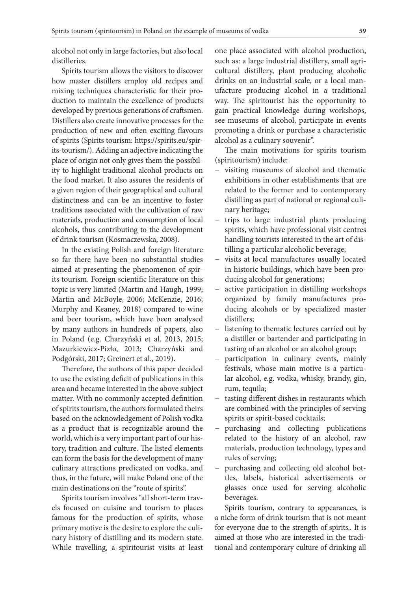alcohol not only in large factories, but also local distilleries.

Spirits tourism allows the visitors to discover how master distillers employ old recipes and mixing techniques characteristic for their production to maintain the excellence of products developed by previous generations of craftsmen. Distillers also create innovative processes for the production of new and often exciting flavours of spirits (Spirits tourism: https://spirits.eu/spirits-tourism/). Adding an adjective indicating the place of origin not only gives them the possibility to highlight traditional alcohol products on the food market. It also assures the residents of a given region of their geographical and cultural distinctness and can be an incentive to foster traditions associated with the cultivation of raw materials, production and consumption of local alcohols, thus contributing to the development of drink tourism (Kosmaczewska, 2008).

In the existing Polish and foreign literature so far there have been no substantial studies aimed at presenting the phenomenon of spirits tourism. Foreign scientific literature on this topic is very limited (Martin and Haugh, 1999; Martin and McBoyle, 2006; McKenzie, 2016; Murphy and Keaney, 2018) compared to wine and beer tourism, which have been analysed by many authors in hundreds of papers, also in Poland (e.g. Charzyński et al. 2013, 2015; Mazurkiewicz-Pizło, 2013; Charzyński and Podgórski, 2017; Greinert et al., 2019).

Therefore, the authors of this paper decided to use the existing deficit of publications in this area and became interested in the above subject matter. With no commonly accepted definition of spirits tourism, the authors formulated theirs based on the acknowledgement of Polish vodka as a product that is recognizable around the world, which is a very important part of our history, tradition and culture. The listed elements can form the basis for the development of many culinary attractions predicated on vodka, and thus, in the future, will make Poland one of the main destinations on the "route of spirits".

Spirits tourism involves "all short-term travels focused on cuisine and tourism to places famous for the production of spirits, whose primary motive is the desire to explore the culinary history of distilling and its modern state. While travelling, a spiritourist visits at least one place associated with alcohol production, such as: a large industrial distillery, small agricultural distillery, plant producing alcoholic drinks on an industrial scale, or a local manufacture producing alcohol in a traditional way. The spiritourist has the opportunity to gain practical knowledge during workshops, see museums of alcohol, participate in events promoting a drink or purchase a characteristic alcohol as a culinary souvenir".

The main motivations for spirits tourism (spiritourism) include:

- − visiting museums of alcohol and thematic exhibitions in other establishments that are related to the former and to contemporary distilling as part of national or regional culinary heritage;
- − trips to large industrial plants producing spirits, which have professional visit centres handling tourists interested in the art of distilling a particular alcoholic beverage;
- visits at local manufactures usually located in historic buildings, which have been producing alcohol for generations;
- − active participation in distilling workshops organized by family manufactures producing alcohols or by specialized master distillers;
- − listening to thematic lectures carried out by a distiller or bartender and participating in tasting of an alcohol or an alcohol group;
- − participation in culinary events, mainly festivals, whose main motive is a particular alcohol, e.g. vodka, whisky, brandy, gin, rum, tequila;
- − tasting different dishes in restaurants which are combined with the principles of serving spirits or spirit-based cocktails;
- − purchasing and collecting publications related to the history of an alcohol, raw materials, production technology, types and rules of serving;
- − purchasing and collecting old alcohol bottles, labels, historical advertisements or glasses once used for serving alcoholic beverages.

Spirits tourism, contrary to appearances, is a niche form of drink tourism that is not meant for everyone due to the strength of spirits.. It is aimed at those who are interested in the traditional and contemporary culture of drinking all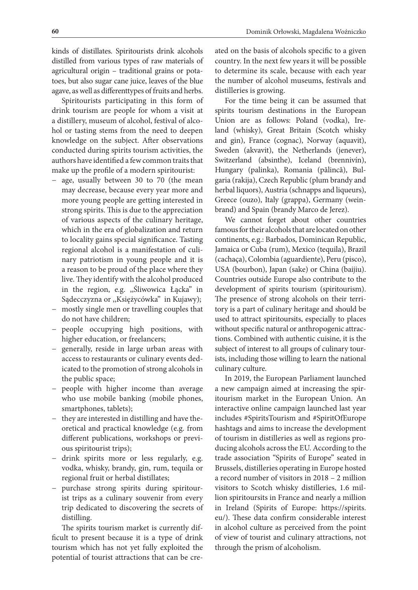kinds of distillates. Spiritourists drink alcohols distilled from various types of raw materials of agricultural origin – traditional grains or potatoes, but also sugar cane juice, leaves of the blue agave, as well as differenttypes of fruits and herbs.

Spiritourists participating in this form of drink tourism are people for whom a visit at a distillery, museum of alcohol, festival of alcohol or tasting stems from the need to deepen knowledge on the subject. After observations conducted during spirits tourism activities, the authors have identified a few common traits that make up the profile of a modern spiritourist:

- − age, usually between 30 to 70 (the mean may decrease, because every year more and more young people are getting interested in strong spirits. This is due to the appreciation of various aspects of the culinary heritage, which in the era of globalization and return to locality gains special significance. Tasting regional alcohol is a manifestation of culinary patriotism in young people and it is a reason to be proud of the place where they live. They identify with the alcohol produced in the region, e.g. ,,Śliwowica Łącka" in Sądecczyzna or ,,Księżycówka" in Kujawy);
- − mostly single men or travelling couples that do not have children;
- people occupying high positions, with higher education, or freelancers;
- − generally, reside in large urban areas with access to restaurants or culinary events dedicated to the promotion of strong alcohols in the public space;
- people with higher income than average who use mobile banking (mobile phones, smartphones, tablets);
- − they are interested in distilling and have theoretical and practical knowledge (e.g. from different publications, workshops or previous spiritourist trips);
- − drink spirits more or less regularly, e.g. vodka, whisky, brandy, gin, rum, tequila or regional fruit or herbal distillates;
- − purchase strong spirits during spiritourist trips as a culinary souvenir from every trip dedicated to discovering the secrets of distilling.

The spirits tourism market is currently difficult to present because it is a type of drink tourism which has not yet fully exploited the potential of tourist attractions that can be created on the basis of alcohols specific to a given country. In the next few years it will be possible to determine its scale, because with each year the number of alcohol museums, festivals and distilleries is growing.

For the time being it can be assumed that spirits tourism destinations in the European Union are as follows: Poland (vodka), Ireland (whisky), Great Britain (Scotch whisky and gin), France (cognac), Norway (aquavit), Sweden (akvavit), the Netherlands (jenever), Switzerland (absinthe), Iceland (brennivín), Hungary (palinka), Romania (pălincă), Bulgaria (rakija), Czech Republic (plum brandy and herbal liquors), Austria (schnapps and liqueurs), Greece (ouzo), Italy (grappa), Germany (weinbrand) and Spain (brandy Marco de Jerez).

We cannot forget about other countries famous for their alcohols that are located on other continents, e.g.: Barbados, Dominican Republic, Jamaica or Cuba (rum), Mexico (tequila), Brazil (cachaça), Colombia (aguardiente), Peru (pisco), USA (bourbon), Japan (sake) or China (baijiu). Countries outside Europe also contribute to the development of spirits tourism (spiritourism). The presence of strong alcohols on their territory is a part of culinary heritage and should be used to attract spiritoursits, especially to places without specific natural or anthropogenic attractions. Combined with authentic cuisine, it is the subject of interest to all groups of culinary tourists, including those willing to learn the national culinary culture.

In 2019, the European Parliament launched a new campaign aimed at increasing the spiritourism market in the European Union. An interactive online campaign launched last year includes #SpiritsTourism and #SpiritOfEurope hashtags and aims to increase the development of tourism in distilleries as well as regions producing alcohols across the EU. According to the trade association "Spirits of Europe" seated in Brussels, distilleries operating in Europe hosted a record number of visitors in 2018 – 2 million visitors to Scotch whisky distilleries, 1.6 million spiritoursits in France and nearly a million in Ireland (Spirits of Europe: https://spirits. eu/). These data confirm considerable interest in alcohol culture as perceived from the point of view of tourist and culinary attractions, not through the prism of alcoholism.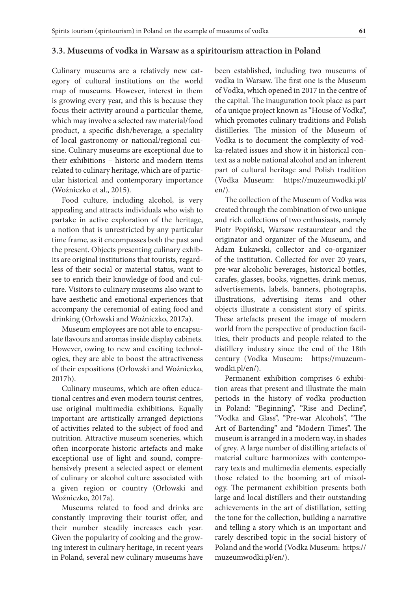#### **3.3. Museums of vodka in Warsaw as a spiritourism attraction in Poland**

Culinary museums are a relatively new category of cultural institutions on the world map of museums. However, interest in them is growing every year, and this is because they focus their activity around a particular theme, which may involve a selected raw material/food product, a specific dish/beverage, a speciality of local gastronomy or national/regional cuisine. Culinary museums are exceptional due to their exhibitions – historic and modern items related to culinary heritage, which are of particular historical and contemporary importance (Woźniczko et al., 2015).

Food culture, including alcohol, is very appealing and attracts individuals who wish to partake in active exploration of the heritage, a notion that is unrestricted by any particular time frame, as it encompasses both the past and the present. Objects presenting culinary exhibits are original institutions that tourists, regardless of their social or material status, want to see to enrich their knowledge of food and culture. Visitors to culinary museums also want to have aesthetic and emotional experiences that accompany the ceremonial of eating food and drinking (Orłowski and Woźniczko, 2017a).

Museum employees are not able to encapsulate flavours and aromas inside display cabinets. However, owing to new and exciting technologies, they are able to boost the attractiveness of their expositions (Orłowski and Woźniczko, 2017b).

Culinary museums, which are often educational centres and even modern tourist centres, use original multimedia exhibitions. Equally important are artistically arranged depictions of activities related to the subject of food and nutrition. Attractive museum sceneries, which often incorporate historic artefacts and make exceptional use of light and sound, comprehensively present a selected aspect or element of culinary or alcohol culture associated with a given region or country (Orłowski and Woźniczko, 2017a).

Museums related to food and drinks are constantly improving their tourist offer, and their number steadily increases each year. Given the popularity of cooking and the growing interest in culinary heritage, in recent years in Poland, several new culinary museums have been established, including two museums of vodka in Warsaw. The first one is the Museum of Vodka, which opened in 2017 in the centre of the capital. The inauguration took place as part of a unique project known as "House of Vodka", which promotes culinary traditions and Polish distilleries. The mission of the Museum of Vodka is to document the complexity of vodka-related issues and show it in historical context as a noble national alcohol and an inherent part of cultural heritage and Polish tradition (Vodka Museum: https://muzeumwodki.pl/ en/).

The collection of the Museum of Vodka was created through the combination of two unique and rich collections of two enthusiasts, namely Piotr Popiński, Warsaw restaurateur and the originator and organizer of the Museum, and Adam Łukawski, collector and co-organizer of the institution. Collected for over 20 years, pre-war alcoholic beverages, historical bottles, carafes, glasses, books, vignettes, drink menus, advertisements, labels, banners, photographs, illustrations, advertising items and other objects illustrate a consistent story of spirits. These artefacts present the image of modern world from the perspective of production facilities, their products and people related to the distillery industry since the end of the 18th century (Vodka Museum: https://muzeumwodki.pl/en/).

Permanent exhibition comprises 6 exhibition areas that present and illustrate the main periods in the history of vodka production in Poland: "Beginning", "Rise and Decline", "Vodka and Glass", "Pre-war Alcohols", "The Art of Bartending" and "Modern Times". The museum is arranged in a modern way, in shades of grey. A large number of distilling artefacts of material culture harmonizes with contemporary texts and multimedia elements, especially those related to the booming art of mixology. The permanent exhibition presents both large and local distillers and their outstanding achievements in the art of distillation, setting the tone for the collection, building a narrative and telling a story which is an important and rarely described topic in the social history of Poland and the world (Vodka Museum: https:// muzeumwodki.pl/en/).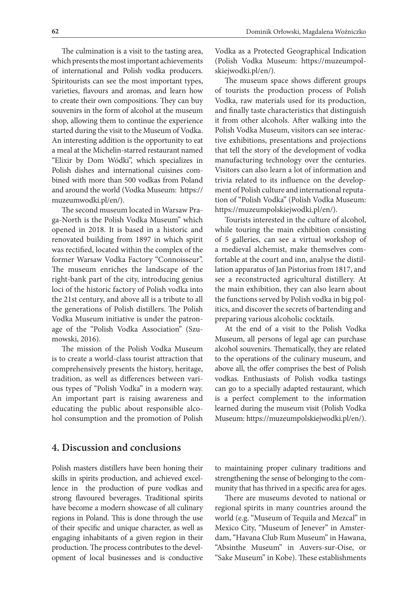The culmination is a visit to the tasting area, which presents the most important achievements of international and Polish vodka producers. Spiritourists can see the most important types, varieties, flavours and aromas, and learn how to create their own compositions. They can buy souvenirs in the form of alcohol at the museum shop, allowing them to continue the experience started during the visit to the Museum of Vodka. An interesting addition is the opportunity to eat a meal at the Michelin-starred restaurant named "Elixir by Dom Wódki", which specializes in Polish dishes and international cuisines combined with more than 500 vodkas from Poland and around the world (Vodka Museum: https:// muzeumwodki.pl/en/).

The second museum located in Warsaw Praga-North is the Polish Vodka Museum" which opened in 2018. It is based in a historic and renovated building from 1897 in which spirit was rectified, located within the complex of the former Warsaw Vodka Factory "Connoisseur". The museum enriches the landscape of the right-bank part of the city, introducing genius loci of the historic factory of Polish vodka into the 21st century, and above all is a tribute to all the generations of Polish distillers. The Polish Vodka Museum initiative is under the patronage of the "Polish Vodka Association" (Szumowski, 2016).

The mission of the Polish Vodka Museum is to create a world-class tourist attraction that comprehensively presents the history, heritage, tradition, as well as differences between various types of "Polish Vodka" in a modern way. An important part is raising awareness and educating the public about responsible alcohol consumption and the promotion of Polish

Vodka as a Protected Geographical Indication (Polish Vodka Museum: https://muzeumpolskiejwodki.pl/en/).

The museum space shows different groups of tourists the production process of Polish Vodka, raw materials used for its production, and finally taste characteristics that distinguish it from other alcohols. After walking into the Polish Vodka Museum, visitors can see interactive exhibitions, presentations and projections that tell the story of the development of vodka manufacturing technology over the centuries. Visitors can also learn a lot of information and trivia related to its influence on the development of Polish culture and international reputation of "Polish Vodka" (Polish Vodka Museum: https://muzeumpolskiejwodki.pl/en/).

Tourists interested in the culture of alcohol, while touring the main exhibition consisting of 5 galleries, can see a virtual workshop of a medieval alchemist, make themselves comfortable at the court and inn, analyse the distillation apparatus of Jan Pistorius from 1817, and see a reconstructed agricultural distillery. At the main exhibition, they can also learn about the functions served by Polish vodka in big politics, and discover the secrets of bartending and preparing various alcoholic cocktails.

At the end of a visit to the Polish Vodka Museum, all persons of legal age can purchase alcohol souvenirs. Thematically, they are related to the operations of the culinary museum, and above all, the offer comprises the best of Polish vodkas. Enthusiasts of Polish vodka tastings can go to a specially adapted restaurant, which is a perfect complement to the information learned during the museum visit (Polish Vodka Museum: https://muzeumpolskiejwodki.pl/en/).

# **4. Discussion and conclusions**

Polish masters distillers have been honing their skills in spirits production, and achieved excellence in the production of pure vodkas and strong flavoured beverages. Traditional spirits have become a modern showcase of all culinary regions in Poland. This is done through the use of their specific and unique character, as well as engaging inhabitants of a given region in their production. The process contributes to the development of local businesses and is conductive

to maintaining proper culinary traditions and strengthening the sense of belonging to the community that has thrived in a specific area for ages.

There are museums devoted to national or regional spirits in many countries around the world (e.g. "Museum of Tequila and Mezcal" in Mexico City, "Museum of Jenever" in Amsterdam, "Havana Club Rum Museum" in Hawana, "Absinthe Museum" in Auvers-sur-Oise, or "Sake Museum" in Kobe). These establishments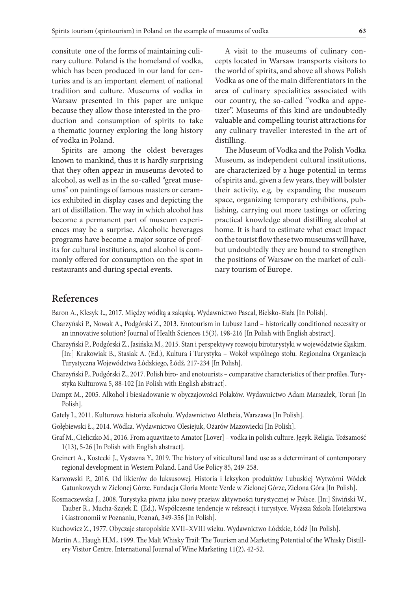consitute one of the forms of maintaining culinary culture. Poland is the homeland of vodka, which has been produced in our land for centuries and is an important element of national tradition and culture. Museums of vodka in Warsaw presented in this paper are unique because they allow those interested in the production and consumption of spirits to take a thematic journey exploring the long history of vodka in Poland.

Spirits are among the oldest beverages known to mankind, thus it is hardly surprising that they often appear in museums devoted to alcohol, as well as in the so-called "great museums" on paintings of famous masters or ceramics exhibited in display cases and depicting the art of distillation. The way in which alcohol has become a permanent part of museum experiences may be a surprise. Alcoholic beverages programs have become a major source of profits for cultural institutions, and alcohol is commonly offered for consumption on the spot in restaurants and during special events.

A visit to the museums of culinary concepts located in Warsaw transports visitors to the world of spirits, and above all shows Polish Vodka as one of the main differentiators in the area of culinary specialities associated with our country, the so-called "vodka and appetizer". Museums of this kind are undoubtedly valuable and compelling tourist attractions for any culinary traveller interested in the art of distilling.

The Museum of Vodka and the Polish Vodka Museum, as independent cultural institutions, are characterized by a huge potential in terms of spirits and, given a few years, they will bolster their activity, e.g. by expanding the museum space, organizing temporary exhibitions, publishing, carrying out more tastings or offering practical knowledge about distilling alcohol at home. It is hard to estimate what exact impact on the tourist flow these two museums will have, but undoubtedly they are bound to strengthen the positions of Warsaw on the market of culinary tourism of Europe.

## **References**

Baron A., Klesyk Ł., 2017. Między wódką a zakąską. Wydawnictwo Pascal, Bielsko-Biała [In Polish].

- Charzyński P., Nowak A., Podgórski Z., 2013. Enotourism in Lubusz Land historically conditioned necessity or an innovative solution? Journal of Health Sciences 15(3), 198-216 [In Polish with English abstract].
- Charzyński P., Podgórski Z., Jasińska M., 2015. Stan i perspektywy rozwoju biroturystyki w województwie śląskim. [In:] Krakowiak B., Stasiak A. (Ed.), Kultura i Turystyka – Wokół wspólnego stołu. Regionalna Organizacja Turystyczna Województwa Łódzkiego, Łódź, 217-234 [In Polish].
- Charzyński P., Podgórski Z., 2017. Polish biro- and enotourists comparative characteristics of their profiles. Turystyka Kulturowa 5, 88-102 [In Polish with English abstract].
- Dampz M., 2005. Alkohol i biesiadowanie w obyczajowości Polaków. Wydawnictwo Adam Marszałek, Toruń [In Polish].
- Gately I., 2011. Kulturowa historia alkoholu. Wydawnictwo Aletheia, Warszawa [In Polish].
- Gołębiewski Ł., 2014. Wódka. Wydawnictwo Olesiejuk, Ożarów Mazowiecki [In Polish].
- Graf M., Cieliczko M., 2016. From aquavitae to Amator [Lover] vodka in polish culture. Język. Religia. Tożsamość 1(13), 5-26 [In Polish with English abstract].
- Greinert A., Kostecki J., Vystavna Y., 2019. The history of viticultural land use as a determinant of contemporary regional development in Western Poland. Land Use Policy 85, 249-258.
- Karwowski P., 2016. Od likierów do luksusowej. Historia i leksykon produktów Lubuskiej Wytwórni Wódek Gatunkowych w Zielonej Górze. Fundacja Gloria Monte Verde w Zielonej Górze, Zielona Góra [In Polish].
- Kosmaczewska J., 2008. Turystyka piwna jako nowy przejaw aktywności turystycznej w Polsce. [In:] Siwiński W., Tauber R., Mucha-Szajek E. (Ed.), Współczesne tendencje w rekreacji i turystyce. Wyższa Szkoła Hotelarstwa i Gastronomii w Poznaniu, Poznań, 349-356 [In Polish].
- Kuchowicz Z., 1977. Obyczaje staropolskie XVII–XVIII wieku. Wydawnictwo Łódzkie, Łódź [In Polish].
- Martin A., Haugh H.M., 1999. The Malt Whisky Trail: The Tourism and Marketing Potential of the Whisky Distillery Visitor Centre. International Journal of Wine Marketing 11(2), 42-52.